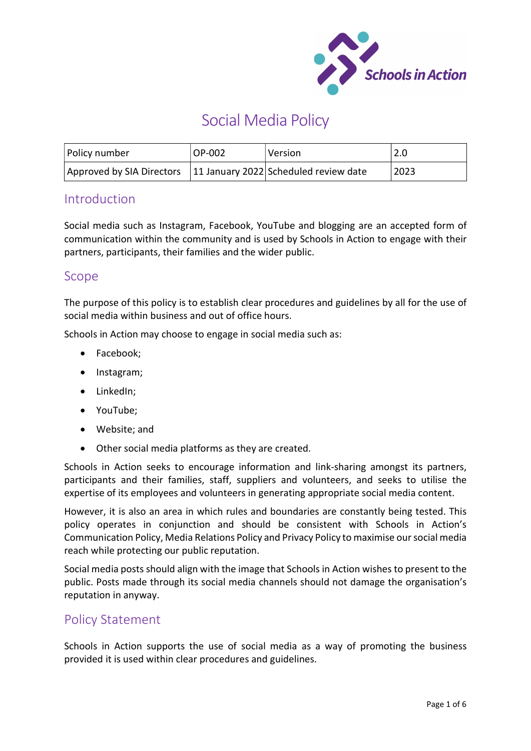

# Social Media Policy

| Policy number                                                     | OP-002 | l Version | 2.0  |
|-------------------------------------------------------------------|--------|-----------|------|
| Approved by SIA Directors   11 January 2022 Scheduled review date |        |           | 2023 |

# Introduction

Social media such as Instagram, Facebook, YouTube and blogging are an accepted form of communication within the community and is used by Schools in Action to engage with their partners, participants, their families and the wider public.

## Scope

The purpose of this policy is to establish clear procedures and guidelines by all for the use of social media within business and out of office hours.

Schools in Action may choose to engage in social media such as:

- Facebook;
- Instagram;
- LinkedIn:
- YouTube:
- Website; and
- Other social media platforms as they are created.

Schools in Action seeks to encourage information and link-sharing amongst its partners, participants and their families, staff, suppliers and volunteers, and seeks to utilise the expertise of its employees and volunteers in generating appropriate social media content.

However, it is also an area in which rules and boundaries are constantly being tested. This policy operates in conjunction and should be consistent with Schools in Action's Communication Policy, Media Relations Policy and Privacy Policy to maximise our social media reach while protecting our public reputation.

Social media posts should align with the image that Schools in Action wishes to present to the public. Posts made through its social media channels should not damage the organisation's reputation in anyway.

# Policy Statement

Schools in Action supports the use of social media as a way of promoting the business provided it is used within clear procedures and guidelines.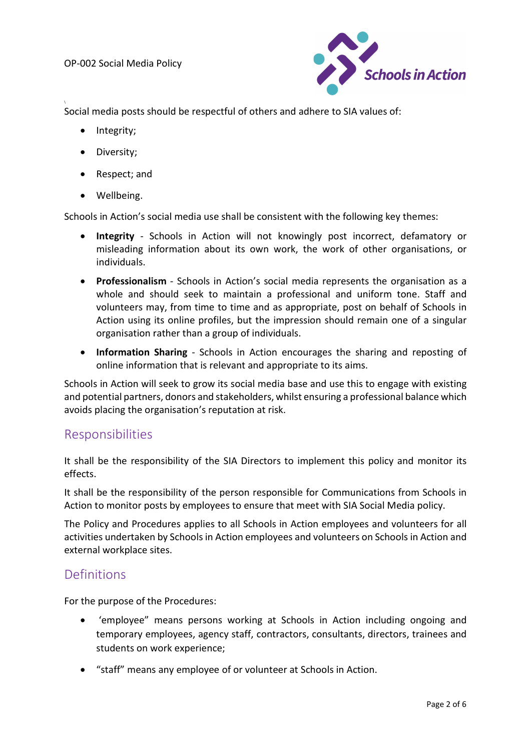

Social media posts should be respectful of others and adhere to SIA values of:

• Integrity;

\

- Diversity:
- Respect; and
- Wellbeing.

Schools in Action's social media use shall be consistent with the following key themes:

- Integrity Schools in Action will not knowingly post incorrect, defamatory or misleading information about its own work, the work of other organisations, or individuals.
- Professionalism Schools in Action's social media represents the organisation as a whole and should seek to maintain a professional and uniform tone. Staff and volunteers may, from time to time and as appropriate, post on behalf of Schools in Action using its online profiles, but the impression should remain one of a singular organisation rather than a group of individuals.
- Information Sharing Schools in Action encourages the sharing and reposting of online information that is relevant and appropriate to its aims.

Schools in Action will seek to grow its social media base and use this to engage with existing and potential partners, donors and stakeholders, whilst ensuring a professional balance which avoids placing the organisation's reputation at risk.

## Responsibilities

It shall be the responsibility of the SIA Directors to implement this policy and monitor its effects.

It shall be the responsibility of the person responsible for Communications from Schools in Action to monitor posts by employees to ensure that meet with SIA Social Media policy.

The Policy and Procedures applies to all Schools in Action employees and volunteers for all activities undertaken by Schools in Action employees and volunteers on Schools in Action and external workplace sites.

## Definitions

For the purpose of the Procedures:

- 'employee" means persons working at Schools in Action including ongoing and temporary employees, agency staff, contractors, consultants, directors, trainees and students on work experience;
- "staff" means any employee of or volunteer at Schools in Action.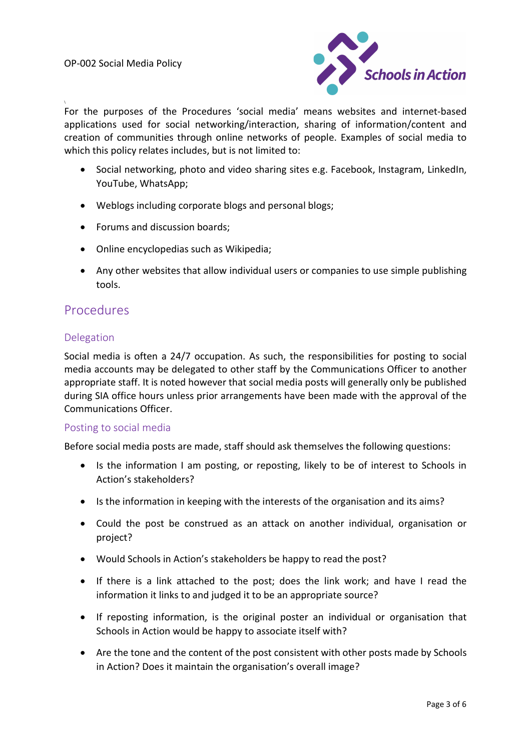\



For the purposes of the Procedures 'social media' means websites and internet-based applications used for social networking/interaction, sharing of information/content and creation of communities through online networks of people. Examples of social media to which this policy relates includes, but is not limited to:

- Social networking, photo and video sharing sites e.g. Facebook, Instagram, LinkedIn, YouTube, WhatsApp;
- Weblogs including corporate blogs and personal blogs;
- Forums and discussion boards;
- Online encyclopedias such as Wikipedia;
- Any other websites that allow individual users or companies to use simple publishing tools.

## Procedures

## Delegation

Social media is often a 24/7 occupation. As such, the responsibilities for posting to social media accounts may be delegated to other staff by the Communications Officer to another appropriate staff. It is noted however that social media posts will generally only be published during SIA office hours unless prior arrangements have been made with the approval of the Communications Officer.

#### Posting to social media

Before social media posts are made, staff should ask themselves the following questions:

- Is the information I am posting, or reposting, likely to be of interest to Schools in Action's stakeholders?
- Is the information in keeping with the interests of the organisation and its aims?
- Could the post be construed as an attack on another individual, organisation or project?
- Would Schools in Action's stakeholders be happy to read the post?
- If there is a link attached to the post; does the link work; and have I read the information it links to and judged it to be an appropriate source?
- If reposting information, is the original poster an individual or organisation that Schools in Action would be happy to associate itself with?
- Are the tone and the content of the post consistent with other posts made by Schools in Action? Does it maintain the organisation's overall image?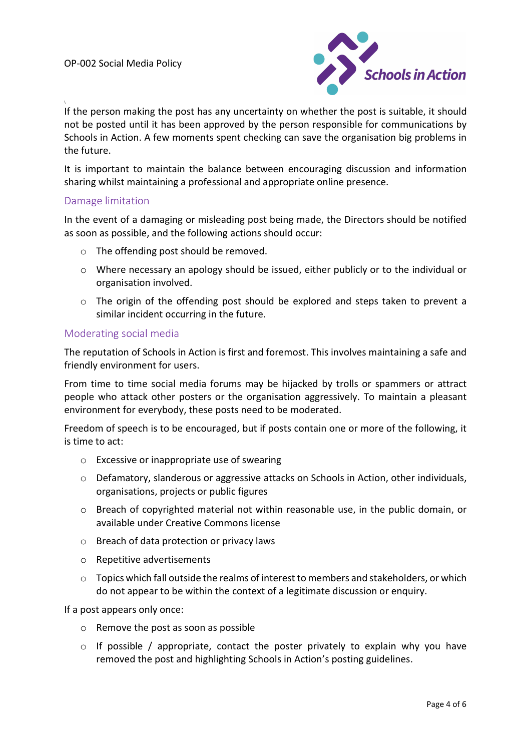

If the person making the post has any uncertainty on whether the post is suitable, it should not be posted until it has been approved by the person responsible for communications by Schools in Action. A few moments spent checking can save the organisation big problems in the future.

It is important to maintain the balance between encouraging discussion and information sharing whilst maintaining a professional and appropriate online presence.

#### Damage limitation

\

In the event of a damaging or misleading post being made, the Directors should be notified as soon as possible, and the following actions should occur:

- o The offending post should be removed.
- $\circ$  Where necessary an apology should be issued, either publicly or to the individual or organisation involved.
- o The origin of the offending post should be explored and steps taken to prevent a similar incident occurring in the future.

#### Moderating social media

The reputation of Schools in Action is first and foremost. This involves maintaining a safe and friendly environment for users.

From time to time social media forums may be hijacked by trolls or spammers or attract people who attack other posters or the organisation aggressively. To maintain a pleasant environment for everybody, these posts need to be moderated.

Freedom of speech is to be encouraged, but if posts contain one or more of the following, it is time to act:

- o Excessive or inappropriate use of swearing
- o Defamatory, slanderous or aggressive attacks on Schools in Action, other individuals, organisations, projects or public figures
- $\circ$  Breach of copyrighted material not within reasonable use, in the public domain, or available under Creative Commons license
- o Breach of data protection or privacy laws
- o Repetitive advertisements
- $\circ$  Topics which fall outside the realms of interest to members and stakeholders, or which do not appear to be within the context of a legitimate discussion or enquiry.

If a post appears only once:

- o Remove the post as soon as possible
- $\circ$  If possible / appropriate, contact the poster privately to explain why you have removed the post and highlighting Schools in Action's posting guidelines.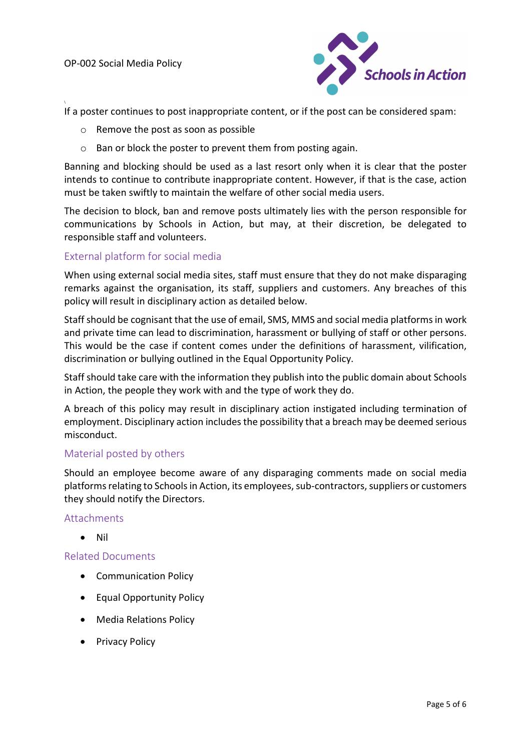\



If a poster continues to post inappropriate content, or if the post can be considered spam:

- o Remove the post as soon as possible
- o Ban or block the poster to prevent them from posting again.

Banning and blocking should be used as a last resort only when it is clear that the poster intends to continue to contribute inappropriate content. However, if that is the case, action must be taken swiftly to maintain the welfare of other social media users.

The decision to block, ban and remove posts ultimately lies with the person responsible for communications by Schools in Action, but may, at their discretion, be delegated to responsible staff and volunteers.

## External platform for social media

When using external social media sites, staff must ensure that they do not make disparaging remarks against the organisation, its staff, suppliers and customers. Any breaches of this policy will result in disciplinary action as detailed below.

Staff should be cognisant that the use of email, SMS, MMS and social media platforms in work and private time can lead to discrimination, harassment or bullying of staff or other persons. This would be the case if content comes under the definitions of harassment, vilification, discrimination or bullying outlined in the Equal Opportunity Policy.

Staff should take care with the information they publish into the public domain about Schools in Action, the people they work with and the type of work they do.

A breach of this policy may result in disciplinary action instigated including termination of employment. Disciplinary action includes the possibility that a breach may be deemed serious misconduct.

#### Material posted by others

Should an employee become aware of any disparaging comments made on social media platforms relating to Schools in Action, its employees, sub-contractors, suppliers or customers they should notify the Directors.

#### Attachments

• Nil

## Related Documents

- Communication Policy
- Equal Opportunity Policy
- Media Relations Policy
- Privacy Policy